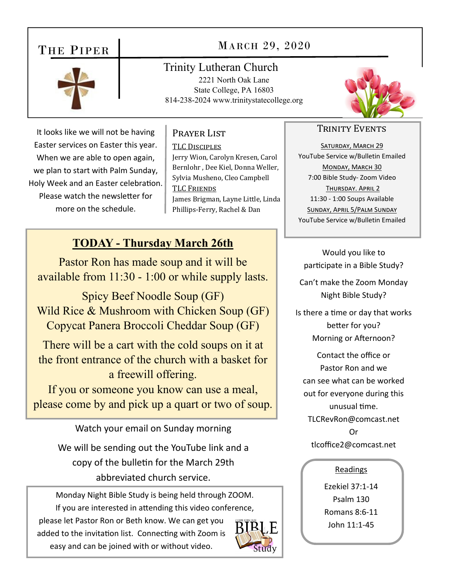# THE PIPER



# MARCH 29, 2020

Trinity Lutheran Church 2221 North Oak Lane State College, PA 16803 814-238-2024 www.trinitystatecollege.org



### Prayer List

TLC DISCIPLES Jerry Wion, Carolyn Kresen, Carol Bernlohr , Dee Kiel, Donna Weller, Sylvia Musheno, Cleo Campbell TLC FRIENDS James Brigman, Layne Little, Linda Phillips-Ferry, Rachel & Dan

### **TODAY - Thursday March 26th**

Pastor Ron has made soup and it will be available from 11:30 - 1:00 or while supply lasts.

Spicy Beef Noodle Soup (GF) Wild Rice & Mushroom with Chicken Soup (GF) Copycat Panera Broccoli Cheddar Soup (GF)

There will be a cart with the cold soups on it at the front entrance of the church with a basket for a freewill offering.

If you or someone you know can use a meal, please come by and pick up a quart or two of soup.

Watch your email on Sunday morning

We will be sending out the YouTube link and a copy of the bulletin for the March 29th abbreviated church service.

Monday Night Bible Study is being held through ZOOM. If you are interested in attending this video conference,

please let Pastor Ron or Beth know. We can get you added to the invitation list. Connecting with Zoom is easy and can be joined with or without video.





### TRINITY EVENTS

SATURDAY, MARCH 29 YouTube Service w/Bulletin Emailed MONDAY, MARCH 30 7:00 Bible Study‐ Zoom Video THURSDAY. APRIL 2 11:30 ‐ 1:00 Soups Available SUNDAY, APRIL 5/PALM SUNDAY YouTube Service w/Bulletin Emailed

Would you like to participate in a Bible Study?

Can't make the Zoom Monday Night Bible Study?

Is there a time or day that works better for you? Morning or Afternoon?

Contact the office or Pastor Ron and we can see what can be worked out for everyone during this unusual Ɵme. TLCRevRon@comcast.net Or tlcoffice2@comcast.net

#### Readings

Ezekiel 37:1‐14 Psalm 130 Romans 8:6‐11 John 11:1‐45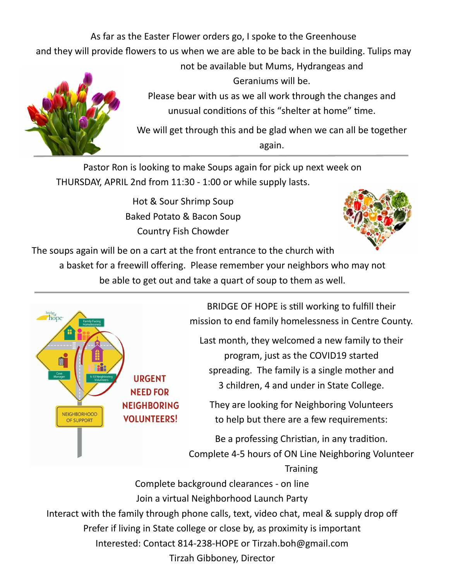As far as the Easter Flower orders go, I spoke to the Greenhouse

and they will provide flowers to us when we are able to be back in the building. Tulips may



not be available but Mums, Hydrangeas and Geraniums will be.

Please bear with us as we all work through the changes and unusual conditions of this "shelter at home" time.

We will get through this and be glad when we can all be together again.

Pastor Ron is looking to make Soups again for pick up next week on THURSDAY, APRIL 2nd from 11:30 ‐ 1:00 or while supply lasts.

> Hot & Sour Shrimp Soup Baked Potato & Bacon Soup Country Fish Chowder



The soups again will be on a cart at the front entrance to the church with

a basket for a freewill offering. Please remember your neighbors who may not be able to get out and take a quart of soup to them as well.



BRIDGE OF HOPE is sƟll working to fulfill their mission to end family homelessness in Centre County.

Last month, they welcomed a new family to their program, just as the COVID19 started spreading. The family is a single mother and 3 children, 4 and under in State College.

They are looking for Neighboring Volunteers to help but there are a few requirements:

Be a professing Christian, in any tradition. Complete 4‐5 hours of ON Line Neighboring Volunteer

**Training** Complete background clearances ‐ on line Join a virtual Neighborhood Launch Party Interact with the family through phone calls, text, video chat, meal & supply drop off Prefer if living in State college or close by, as proximity is important Interested: Contact 814‐238‐HOPE or Tirzah.boh@gmail.com Tirzah Gibboney, Director